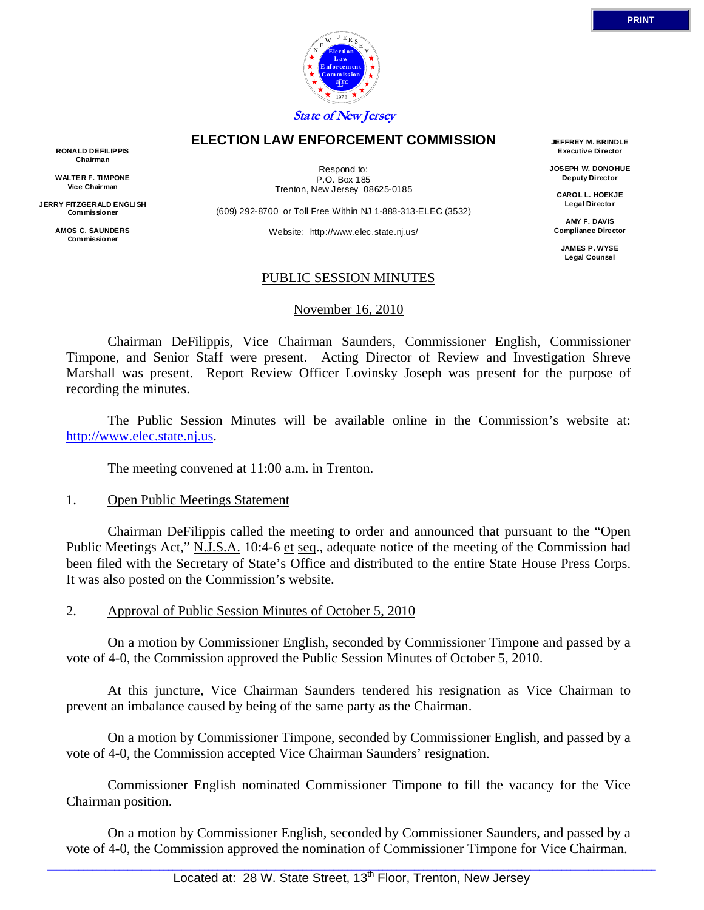

#### **ELECTION LAW ENFORCEMENT COMMISSION**

**RONALD DEFILIPPIS Chairman** 

**WALTER F. TIMPONE Vice Chairman** 

**JERRY FITZGERALD ENGLISH Commissio ner** 

> **AMOS C. SAUNDERS Commissio ner**

Respond to: P.O. Box 185 Trenton, New Jersey 08625-0185

(609) 292-8700 or Toll Free Within NJ 1-888-313-ELEC (3532)

Website: http://www.elec.state.nj.us/

**JEFFREY M. BRINDLE Executive Director** 

**JOSEPH W. DONOHUE Deputy Director** 

**CAROL L. HOEKJE Legal Directo r** 

**AMY F. DAVIS Compliance Director** 

**JAMES P. WYSE Legal Counsel** 

#### PUBLIC SESSION MINUTES

#### November 16, 2010

 Chairman DeFilippis, Vice Chairman Saunders, Commissioner English, Commissioner Timpone, and Senior Staff were present. Acting Director of Review and Investigation Shreve Marshall was present. Report Review Officer Lovinsky Joseph was present for the purpose of recording the minutes.

 The Public Session Minutes will be available online in the Commission's website at: http://www.elec.state.nj.us.

The meeting convened at 11:00 a.m. in Trenton.

#### 1. Open Public Meetings Statement

 Chairman DeFilippis called the meeting to order and announced that pursuant to the "Open Public Meetings Act," N.J.S.A. 10:4-6 et seq., adequate notice of the meeting of the Commission had been filed with the Secretary of State's Office and distributed to the entire State House Press Corps. It was also posted on the Commission's website.

2. Approval of Public Session Minutes of October 5, 2010

 On a motion by Commissioner English, seconded by Commissioner Timpone and passed by a vote of 4-0, the Commission approved the Public Session Minutes of October 5, 2010.

 At this juncture, Vice Chairman Saunders tendered his resignation as Vice Chairman to prevent an imbalance caused by being of the same party as the Chairman.

 On a motion by Commissioner Timpone, seconded by Commissioner English, and passed by a vote of 4-0, the Commission accepted Vice Chairman Saunders' resignation.

 Commissioner English nominated Commissioner Timpone to fill the vacancy for the Vice Chairman position.

 On a motion by Commissioner English, seconded by Commissioner Saunders, and passed by a vote of 4-0, the Commission approved the nomination of Commissioner Timpone for Vice Chairman.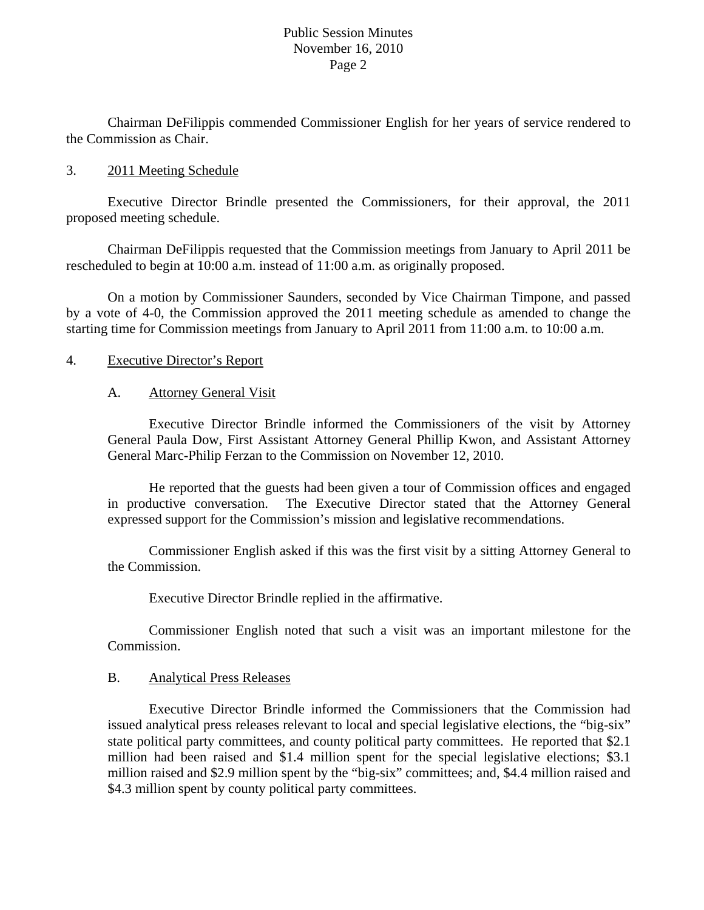Chairman DeFilippis commended Commissioner English for her years of service rendered to the Commission as Chair.

#### 3. 2011 Meeting Schedule

 Executive Director Brindle presented the Commissioners, for their approval, the 2011 proposed meeting schedule.

 Chairman DeFilippis requested that the Commission meetings from January to April 2011 be rescheduled to begin at 10:00 a.m. instead of 11:00 a.m. as originally proposed.

 On a motion by Commissioner Saunders, seconded by Vice Chairman Timpone, and passed by a vote of 4-0, the Commission approved the 2011 meeting schedule as amended to change the starting time for Commission meetings from January to April 2011 from 11:00 a.m. to 10:00 a.m.

#### 4. Executive Director's Report

#### A. Attorney General Visit

 Executive Director Brindle informed the Commissioners of the visit by Attorney General Paula Dow, First Assistant Attorney General Phillip Kwon, and Assistant Attorney General Marc-Philip Ferzan to the Commission on November 12, 2010.

 He reported that the guests had been given a tour of Commission offices and engaged in productive conversation. The Executive Director stated that the Attorney General expressed support for the Commission's mission and legislative recommendations.

 Commissioner English asked if this was the first visit by a sitting Attorney General to the Commission.

Executive Director Brindle replied in the affirmative.

 Commissioner English noted that such a visit was an important milestone for the Commission.

#### B. Analytical Press Releases

 Executive Director Brindle informed the Commissioners that the Commission had issued analytical press releases relevant to local and special legislative elections, the "big-six" state political party committees, and county political party committees. He reported that \$2.1 million had been raised and \$1.4 million spent for the special legislative elections; \$3.1 million raised and \$2.9 million spent by the "big-six" committees; and, \$4.4 million raised and \$4.3 million spent by county political party committees.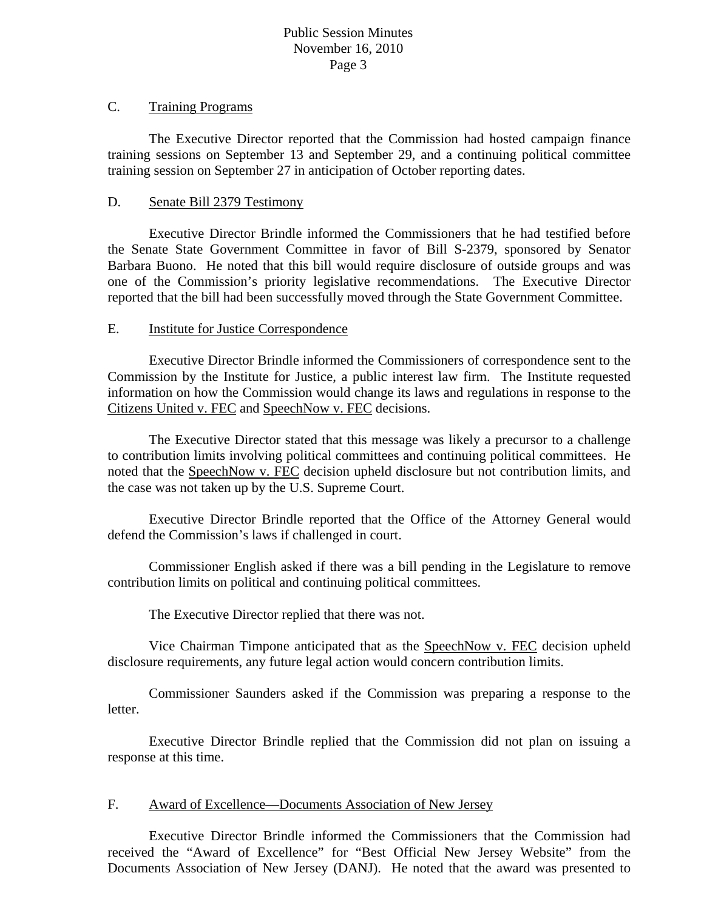### C. Training Programs

 The Executive Director reported that the Commission had hosted campaign finance training sessions on September 13 and September 29, and a continuing political committee training session on September 27 in anticipation of October reporting dates.

## D. Senate Bill 2379 Testimony

 Executive Director Brindle informed the Commissioners that he had testified before the Senate State Government Committee in favor of Bill S-2379, sponsored by Senator Barbara Buono. He noted that this bill would require disclosure of outside groups and was one of the Commission's priority legislative recommendations. The Executive Director reported that the bill had been successfully moved through the State Government Committee.

### E. Institute for Justice Correspondence

 Executive Director Brindle informed the Commissioners of correspondence sent to the Commission by the Institute for Justice, a public interest law firm. The Institute requested information on how the Commission would change its laws and regulations in response to the Citizens United v. FEC and SpeechNow v. FEC decisions.

 The Executive Director stated that this message was likely a precursor to a challenge to contribution limits involving political committees and continuing political committees. He noted that the SpeechNow v. FEC decision upheld disclosure but not contribution limits, and the case was not taken up by the U.S. Supreme Court.

 Executive Director Brindle reported that the Office of the Attorney General would defend the Commission's laws if challenged in court.

 Commissioner English asked if there was a bill pending in the Legislature to remove contribution limits on political and continuing political committees.

The Executive Director replied that there was not.

 Vice Chairman Timpone anticipated that as the SpeechNow v. FEC decision upheld disclosure requirements, any future legal action would concern contribution limits.

 Commissioner Saunders asked if the Commission was preparing a response to the letter.

 Executive Director Brindle replied that the Commission did not plan on issuing a response at this time.

### F. Award of Excellence—Documents Association of New Jersey

 Executive Director Brindle informed the Commissioners that the Commission had received the "Award of Excellence" for "Best Official New Jersey Website" from the Documents Association of New Jersey (DANJ). He noted that the award was presented to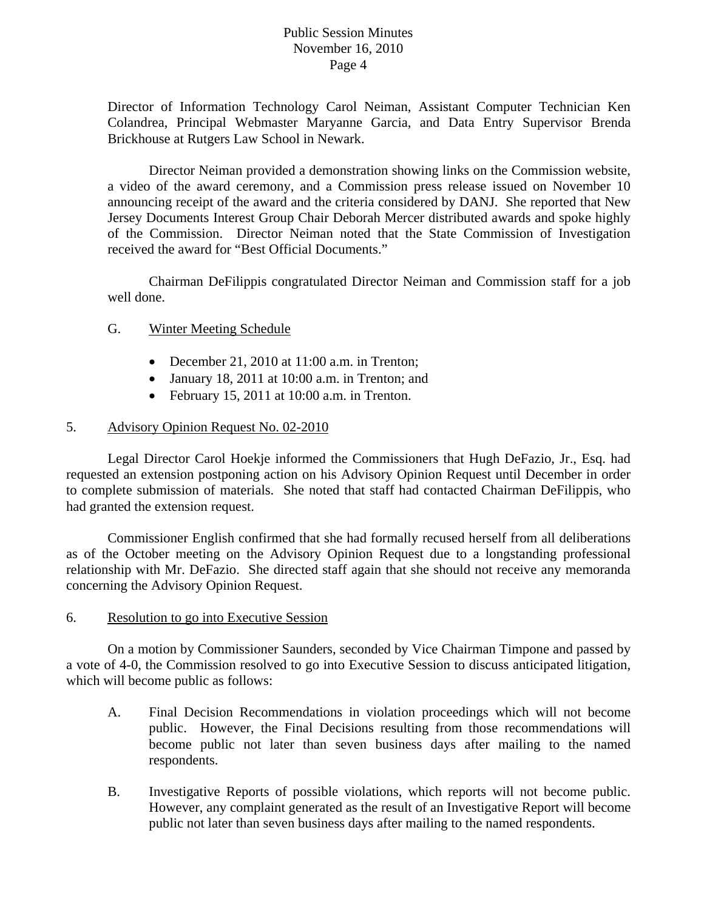Director of Information Technology Carol Neiman, Assistant Computer Technician Ken Colandrea, Principal Webmaster Maryanne Garcia, and Data Entry Supervisor Brenda Brickhouse at Rutgers Law School in Newark.

 Director Neiman provided a demonstration showing links on the Commission website, a video of the award ceremony, and a Commission press release issued on November 10 announcing receipt of the award and the criteria considered by DANJ. She reported that New Jersey Documents Interest Group Chair Deborah Mercer distributed awards and spoke highly of the Commission. Director Neiman noted that the State Commission of Investigation received the award for "Best Official Documents."

 Chairman DeFilippis congratulated Director Neiman and Commission staff for a job well done.

## G. Winter Meeting Schedule

- December 21, 2010 at 11:00 a.m. in Trenton;
- January 18, 2011 at 10:00 a.m. in Trenton; and
- $\bullet$  February 15, 2011 at 10:00 a.m. in Trenton.

### 5. Advisory Opinion Request No. 02-2010

Legal Director Carol Hoekje informed the Commissioners that Hugh DeFazio, Jr., Esq. had requested an extension postponing action on his Advisory Opinion Request until December in order to complete submission of materials. She noted that staff had contacted Chairman DeFilippis, who had granted the extension request.

Commissioner English confirmed that she had formally recused herself from all deliberations as of the October meeting on the Advisory Opinion Request due to a longstanding professional relationship with Mr. DeFazio. She directed staff again that she should not receive any memoranda concerning the Advisory Opinion Request.

### 6. Resolution to go into Executive Session

 On a motion by Commissioner Saunders, seconded by Vice Chairman Timpone and passed by a vote of 4-0, the Commission resolved to go into Executive Session to discuss anticipated litigation, which will become public as follows:

- A. Final Decision Recommendations in violation proceedings which will not become public. However, the Final Decisions resulting from those recommendations will become public not later than seven business days after mailing to the named respondents.
- B. Investigative Reports of possible violations, which reports will not become public. However, any complaint generated as the result of an Investigative Report will become public not later than seven business days after mailing to the named respondents.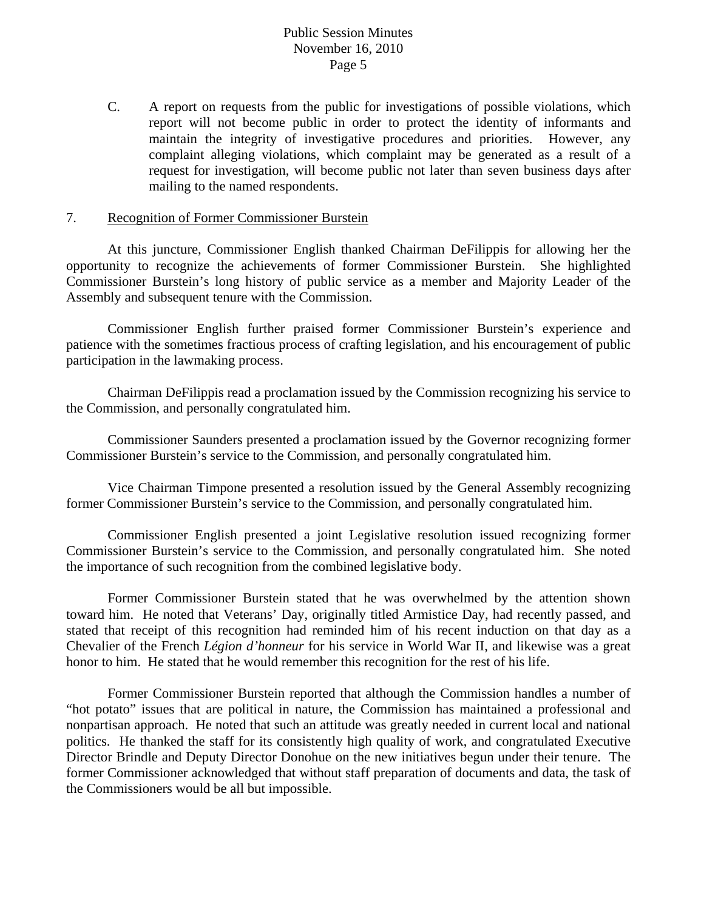C. A report on requests from the public for investigations of possible violations, which report will not become public in order to protect the identity of informants and maintain the integrity of investigative procedures and priorities. However, any complaint alleging violations, which complaint may be generated as a result of a request for investigation, will become public not later than seven business days after mailing to the named respondents.

#### 7. Recognition of Former Commissioner Burstein

 At this juncture, Commissioner English thanked Chairman DeFilippis for allowing her the opportunity to recognize the achievements of former Commissioner Burstein. She highlighted Commissioner Burstein's long history of public service as a member and Majority Leader of the Assembly and subsequent tenure with the Commission.

 Commissioner English further praised former Commissioner Burstein's experience and patience with the sometimes fractious process of crafting legislation, and his encouragement of public participation in the lawmaking process.

 Chairman DeFilippis read a proclamation issued by the Commission recognizing his service to the Commission, and personally congratulated him.

 Commissioner Saunders presented a proclamation issued by the Governor recognizing former Commissioner Burstein's service to the Commission, and personally congratulated him.

 Vice Chairman Timpone presented a resolution issued by the General Assembly recognizing former Commissioner Burstein's service to the Commission, and personally congratulated him.

 Commissioner English presented a joint Legislative resolution issued recognizing former Commissioner Burstein's service to the Commission, and personally congratulated him. She noted the importance of such recognition from the combined legislative body.

 Former Commissioner Burstein stated that he was overwhelmed by the attention shown toward him. He noted that Veterans' Day, originally titled Armistice Day, had recently passed, and stated that receipt of this recognition had reminded him of his recent induction on that day as a Chevalier of the French *Légion d'honneur* for his service in World War II, and likewise was a great honor to him. He stated that he would remember this recognition for the rest of his life.

 Former Commissioner Burstein reported that although the Commission handles a number of "hot potato" issues that are political in nature, the Commission has maintained a professional and nonpartisan approach. He noted that such an attitude was greatly needed in current local and national politics. He thanked the staff for its consistently high quality of work, and congratulated Executive Director Brindle and Deputy Director Donohue on the new initiatives begun under their tenure. The former Commissioner acknowledged that without staff preparation of documents and data, the task of the Commissioners would be all but impossible.